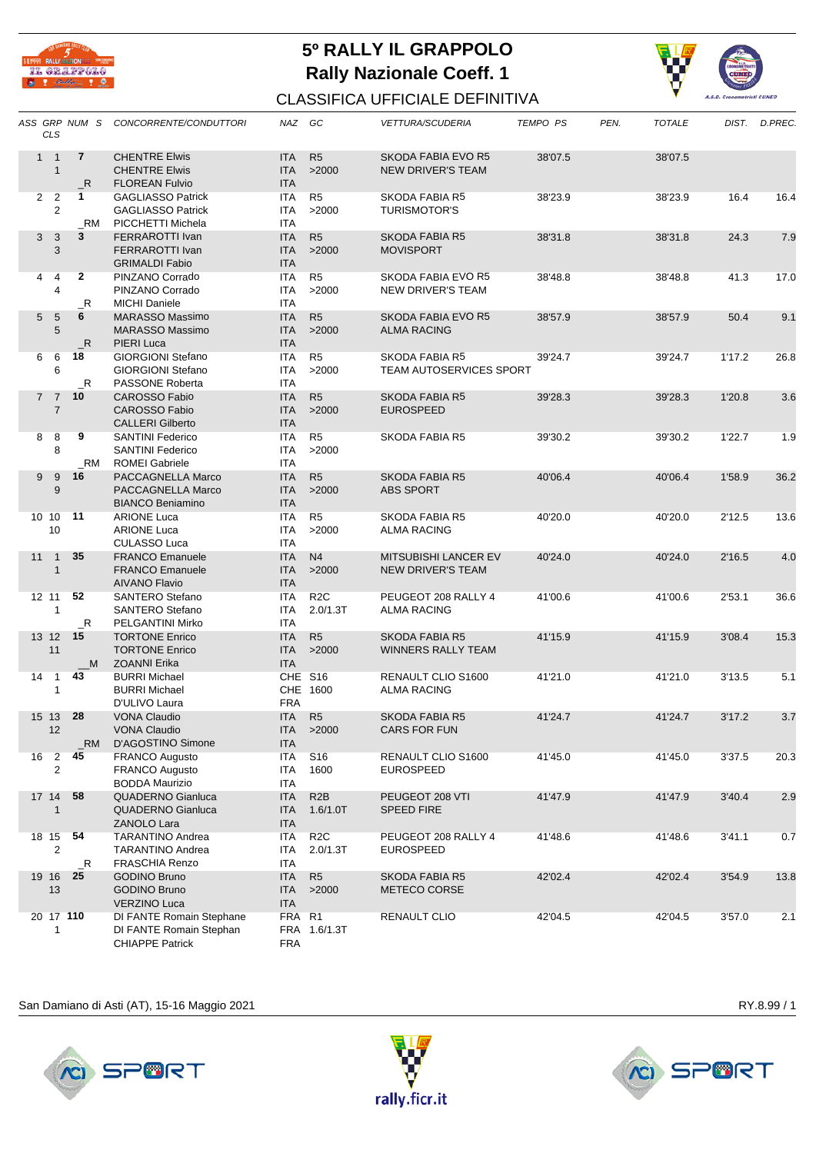

## **5º RALLY IL GRAPPOLO Rally Nazionale Coeff. 1**



## CLASSIFICA UFFICIALE DEFINITIVA

|    | <b>CLS</b>                       |                          | ASS GRP NUM S CONCORRENTE/CONDUTTORI                                           | NAZ GC                                 |                              | <b>VETTURA/SCUDERIA</b>                                 | <b>TEMPO PS</b> | PEN. | <b>TOTALE</b> |        | DIST. D.PREC. |
|----|----------------------------------|--------------------------|--------------------------------------------------------------------------------|----------------------------------------|------------------------------|---------------------------------------------------------|-----------------|------|---------------|--------|---------------|
|    | $1 \quad 1$<br>$\mathbf{1}$      | $\overline{7}$<br>R      | <b>CHENTRE Elwis</b><br><b>CHENTRE Elwis</b><br><b>FLOREAN Fulvio</b>          | <b>ITA</b><br><b>ITA</b><br><b>ITA</b> | R <sub>5</sub><br>>2000      | <b>SKODA FABIA EVO R5</b><br><b>NEW DRIVER'S TEAM</b>   | 38'07.5         |      | 38'07.5       |        |               |
|    | 2 <sub>2</sub><br>$\overline{2}$ | 1<br>_RM                 | <b>GAGLIASSO Patrick</b><br><b>GAGLIASSO Patrick</b><br>PICCHETTI Michela      | ITA<br>ITA<br><b>ITA</b>               | R <sub>5</sub><br>>2000      | SKODA FABIA R5<br><b>TURISMOTOR'S</b>                   | 38'23.9         |      | 38'23.9       | 16.4   | 16.4          |
|    | $\mathbf{3}$<br>3<br>3           | 3                        | FERRAROTTI Ivan<br><b>FERRAROTTI Ivan</b><br><b>GRIMALDI Fabio</b>             | <b>ITA</b><br><b>ITA</b><br><b>ITA</b> | R <sub>5</sub><br>>2000      | <b>SKODA FABIA R5</b><br><b>MOVISPORT</b>               | 38'31.8         |      | 38'31.8       | 24.3   | 7.9           |
| 4  | 4<br>4                           | $\overline{2}$<br>$\_$ R | PINZANO Corrado<br>PINZANO Corrado<br><b>MICHI Daniele</b>                     | ITA<br><b>ITA</b><br><b>ITA</b>        | R <sub>5</sub><br>>2000      | SKODA FABIA EVO R5<br>NEW DRIVER'S TEAM                 | 38'48.8         |      | 38'48.8       | 41.3   | 17.0          |
|    | 5<br>5<br>5                      | 6<br>$\_R$               | <b>MARASSO Massimo</b><br><b>MARASSO Massimo</b><br>PIERI Luca                 | <b>ITA</b><br><b>ITA</b><br><b>ITA</b> | R <sub>5</sub><br>>2000      | SKODA FABIA EVO R5<br><b>ALMA RACING</b>                | 38'57.9         |      | 38'57.9       | 50.4   | 9.1           |
|    | 6<br>6<br>6                      | 18<br>$\_R$              | <b>GIORGIONI Stefano</b><br><b>GIORGIONI Stefano</b><br><b>PASSONE Roberta</b> | <b>ITA</b><br><b>ITA</b><br><b>ITA</b> | R <sub>5</sub><br>>2000      | SKODA FABIA R5<br><b>TEAM AUTOSERVICES SPORT</b>        | 39'24.7         |      | 39'24.7       | 1'17.2 | 26.8          |
|    | 7 <sub>7</sub><br>$\overline{7}$ | 10                       | CAROSSO Fabio<br><b>CAROSSO Fabio</b><br><b>CALLERI Gilberto</b>               | <b>ITA</b><br><b>ITA</b><br><b>ITA</b> | R <sub>5</sub><br>>2000      | <b>SKODA FABIA R5</b><br><b>EUROSPEED</b>               | 39'28.3         |      | 39'28.3       | 1'20.8 | 3.6           |
| 8  | 8<br>8                           | 9<br>_RM                 | <b>SANTINI Federico</b><br><b>SANTINI Federico</b><br><b>ROMEI Gabriele</b>    | ITA<br>ITA<br>ITA                      | R5<br>>2000                  | SKODA FABIA R5                                          | 39'30.2         |      | 39'30.2       | 1'22.7 | 1.9           |
|    | 9<br>9<br>9                      | 16                       | PACCAGNELLA Marco<br>PACCAGNELLA Marco<br><b>BIANCO Beniamino</b>              | <b>ITA</b><br><b>ITA</b><br><b>ITA</b> | R <sub>5</sub><br>>2000      | <b>SKODA FABIA R5</b><br><b>ABS SPORT</b>               | 40'06.4         |      | 40'06.4       | 1'58.9 | 36.2          |
|    | 10 10<br>10                      | 11                       | <b>ARIONE Luca</b><br><b>ARIONE Luca</b><br><b>CULASSO Luca</b>                | <b>ITA</b><br>ITA<br>ITA               | R <sub>5</sub><br>>2000      | SKODA FABIA R5<br><b>ALMA RACING</b>                    | 40'20.0         |      | 40'20.0       | 2'12.5 | 13.6          |
| 11 | $\overline{1}$<br>$\mathbf{1}$   | 35                       | <b>FRANCO Emanuele</b><br><b>FRANCO Emanuele</b><br><b>AIVANO Flavio</b>       | <b>ITA</b><br><b>ITA</b><br><b>ITA</b> | N <sub>4</sub><br>>2000      | <b>MITSUBISHI LANCER EV</b><br><b>NEW DRIVER'S TEAM</b> | 40'24.0         |      | 40'24.0       | 2'16.5 | 4.0           |
|    | 12 11<br>$\mathbf{1}$            | 52<br>$\_R$              | <b>SANTERO Stefano</b><br>SANTERO Stefano<br>PELGANTINI Mirko                  | ITA<br>ITA<br><b>ITA</b>               | R <sub>2</sub> C<br>2.0/1.3T | PEUGEOT 208 RALLY 4<br>ALMA RACING                      | 41'00.6         |      | 41'00.6       | 2'53.1 | 36.6          |
|    | 13 12 15<br>11                   | _M                       | <b>TORTONE Enrico</b><br><b>TORTONE Enrico</b><br><b>ZOANNI Erika</b>          | <b>ITA</b><br><b>ITA</b><br><b>ITA</b> | R <sub>5</sub><br>>2000      | <b>SKODA FABIA R5</b><br>WINNERS RALLY TEAM             | 41'15.9         |      | 41'15.9       | 3'08.4 | 15.3          |
| 14 | $\overline{1}$<br>$\mathbf{1}$   | 43                       | <b>BURRI Michael</b><br><b>BURRI Michael</b><br>D'ULIVO Laura                  | <b>FRA</b>                             | CHE S16<br>CHE 1600          | <b>RENAULT CLIO S1600</b><br>ALMA RACING                | 41'21.0         |      | 41'21.0       | 3'13.5 | 5.1           |
|    | 15 13 28<br>12                   | _RM                      | <b>VONA Claudio</b><br><b>VONA Claudio</b><br>D'AGOSTINO Simone                | <b>ITA</b><br>ITA                      | R <sub>5</sub><br>ITA >2000  | <b>SKODA FABIA R5</b><br>CARS FOR FUN                   | 41'24.7         |      | 41'24.7       | 3'17.2 | 3.7           |
|    | 16 2<br>$\overline{2}$           | 45                       | <b>FRANCO Augusto</b><br><b>FRANCO Augusto</b><br><b>BODDA Maurizio</b>        | <b>ITA</b><br><b>ITA</b><br>ITA        | S <sub>16</sub><br>1600      | RENAULT CLIO S1600<br><b>EUROSPEED</b>                  | 41'45.0         |      | 41'45.0       | 3'37.5 | 20.3          |
|    | 17 14 58<br>1                    |                          | QUADERNO Gianluca<br><b>QUADERNO Gianluca</b><br>ZANOLO Lara                   | <b>ITA</b><br><b>ITA</b><br><b>ITA</b> | R <sub>2</sub> B<br>1.6/1.0T | PEUGEOT 208 VTI<br><b>SPEED FIRE</b>                    | 41'47.9         |      | 41'47.9       | 3'40.4 | 2.9           |
|    | 18 15 54<br>$\overline{2}$       | $\_R$                    | TARANTINO Andrea<br><b>TARANTINO Andrea</b><br><b>FRASCHIA Renzo</b>           | ITA<br>ITA<br>ITA                      | R <sub>2</sub> C<br>2.0/1.3T | PEUGEOT 208 RALLY 4<br><b>EUROSPEED</b>                 | 41'48.6         |      | 41'48.6       | 3'41.1 | 0.7           |
|    | 19 16<br>13                      | 25                       | <b>GODINO Bruno</b><br><b>GODINO Bruno</b><br><b>VERZINO Luca</b>              | <b>ITA</b><br><b>ITA</b><br><b>ITA</b> | R <sub>5</sub><br>>2000      | <b>SKODA FABIA R5</b><br>METECO CORSE                   | 42'02.4         |      | 42'02.4       | 3'54.9 | 13.8          |
|    | 20 17 110<br>1                   |                          | DI FANTE Romain Stephane<br>DI FANTE Romain Stephan<br><b>CHIAPPE Patrick</b>  | FRA R1<br><b>FRA</b>                   | FRA 1.6/1.3T                 | RENAULT CLIO                                            | 42'04.5         |      | 42'04.5       | 3'57.0 | 2.1           |

## San Damiano di Asti (AT), 15-16 Maggio 2021 Maggio 2021 Associativo anche a sulla provincia di RY.8.99 / 1





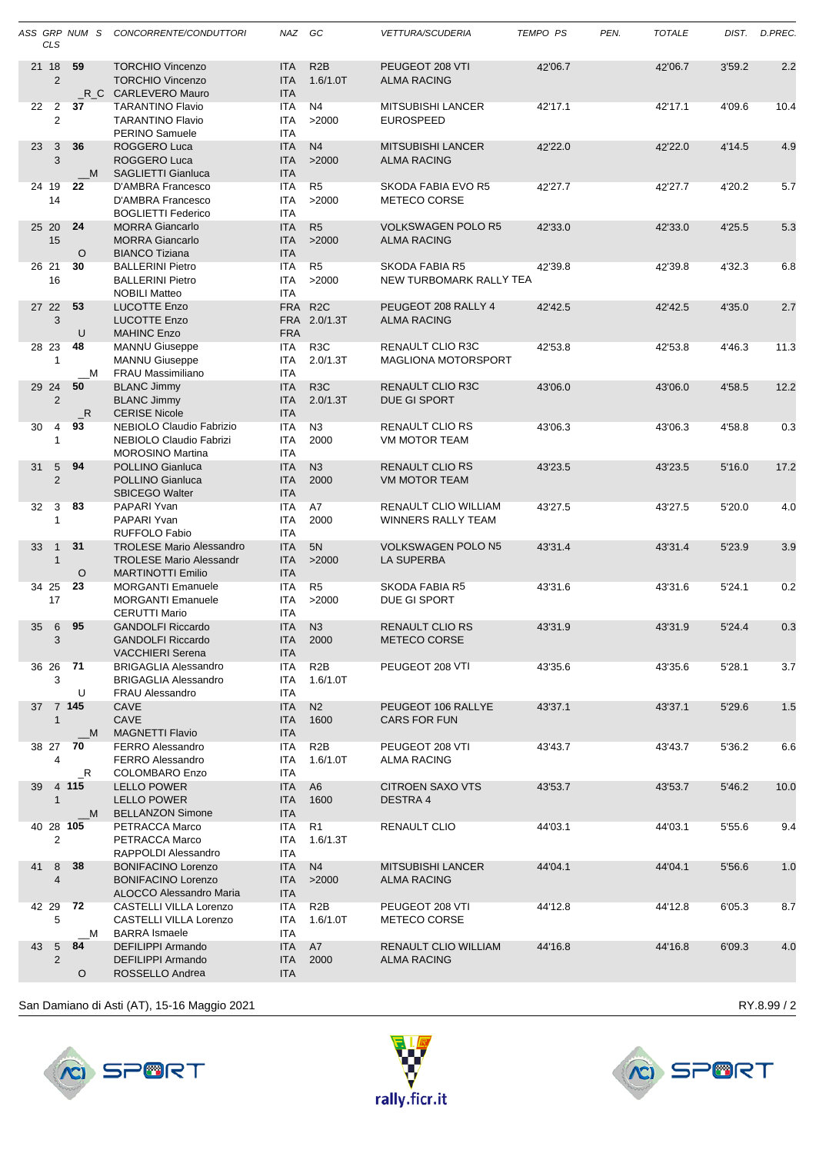|           | <b>CLS</b>                   | ASS GRP NUM S | CONCORRENTE/CONDUTTORI                                                                        | NAZ GC                                 |                              | <b>VETTURA/SCUDERIA</b>                         | <b>TEMPO PS</b> | PEN. | <b>TOTALE</b> |        | DIST. D.PREC. |
|-----------|------------------------------|---------------|-----------------------------------------------------------------------------------------------|----------------------------------------|------------------------------|-------------------------------------------------|-----------------|------|---------------|--------|---------------|
| 21 18     | $\overline{2}$               | 59            | <b>TORCHIO Vincenzo</b><br><b>TORCHIO Vincenzo</b><br>R C CARLEVERO Mauro                     | <b>ITA</b><br><b>ITA</b><br><b>ITA</b> | R <sub>2</sub> B<br>1.6/1.0T | PEUGEOT 208 VTI<br><b>ALMA RACING</b>           | 42'06.7         |      | 42'06.7       | 3'59.2 | 2.2           |
| 22        | 2<br>2                       | 37            | <b>TARANTINO Flavio</b><br><b>TARANTINO Flavio</b><br>PERINO Samuele                          | <b>ITA</b><br><b>ITA</b><br><b>ITA</b> | N4<br>>2000                  | <b>MITSUBISHI LANCER</b><br><b>EUROSPEED</b>    | 42'17.1         |      | 42'17.1       | 4'09.6 | 10.4          |
| 23        | 3<br>3                       | 36<br>M       | ROGGERO Luca<br>ROGGERO Luca<br>SAGLIETTI Gianluca                                            | <b>ITA</b><br><b>ITA</b><br><b>ITA</b> | N <sub>4</sub><br>>2000      | <b>MITSUBISHI LANCER</b><br><b>ALMA RACING</b>  | 42'22.0         |      | 42'22.0       | 4'14.5 | 4.9           |
| 24 19     | 14                           | 22            | D'AMBRA Francesco<br>D'AMBRA Francesco<br><b>BOGLIETTI Federico</b>                           | <b>ITA</b><br><b>ITA</b><br><b>ITA</b> | R <sub>5</sub><br>>2000      | SKODA FABIA EVO R5<br>METECO CORSE              | 42'27.7         |      | 42'27.7       | 4'20.2 | 5.7           |
| 25 20     | 15                           | 24<br>$\circ$ | <b>MORRA Giancarlo</b><br><b>MORRA Giancarlo</b><br><b>BIANCO Tiziana</b>                     | <b>ITA</b><br><b>ITA</b><br><b>ITA</b> | R <sub>5</sub><br>>2000      | <b>VOLKSWAGEN POLO R5</b><br><b>ALMA RACING</b> | 42'33.0         |      | 42'33.0       | 4'25.5 | 5.3           |
| 26 21     | 16                           | 30            | <b>BALLERINI Pietro</b><br><b>BALLERINI Pietro</b><br><b>NOBILI Matteo</b>                    | <b>ITA</b><br><b>ITA</b><br><b>ITA</b> | R <sub>5</sub><br>>2000      | SKODA FABIA R5<br>NEW TURBOMARK RALLY TEA       | 42'39.8         |      | 42'39.8       | 4'32.3 | 6.8           |
| 27 22     | 3                            | 53<br>U       | <b>LUCOTTE Enzo</b><br><b>LUCOTTE Enzo</b><br><b>MAHINC Enzo</b>                              | <b>FRA</b><br><b>FRA</b><br><b>FRA</b> | R <sub>2</sub> C<br>2.0/1.3T | PEUGEOT 208 RALLY 4<br><b>ALMA RACING</b>       | 42'42.5         |      | 42'42.5       | 4'35.0 | 2.7           |
| 28 23     | $\mathbf{1}$                 | 48<br>M       | <b>MANNU Giuseppe</b><br><b>MANNU Giuseppe</b><br><b>FRAU Massimiliano</b>                    | <b>ITA</b><br><b>ITA</b><br><b>ITA</b> | R <sub>3</sub> C<br>2.0/1.3T | RENAULT CLIO R3C<br><b>MAGLIONA MOTORSPORT</b>  | 42'53.8         |      | 42'53.8       | 4'46.3 | 11.3          |
| 29 24     | $\overline{2}$               | 50<br>R       | <b>BLANC Jimmy</b><br><b>BLANC Jimmy</b><br><b>CERISE Nicole</b>                              | <b>ITA</b><br><b>ITA</b><br><b>ITA</b> | R <sub>3</sub> C<br>2.0/1.3T | <b>RENAULT CLIO R3C</b><br>DUE GI SPORT         | 43'06.0         |      | 43'06.0       | 4'58.5 | 12.2          |
| 30        | 4<br>$\mathbf{1}$            | 93            | NEBIOLO Claudio Fabrizio<br>NEBIOLO Claudio Fabrizi<br><b>MOROSINO Martina</b>                | <b>ITA</b><br><b>ITA</b><br><b>ITA</b> | N3<br>2000                   | <b>RENAULT CLIO RS</b><br>VM MOTOR TEAM         | 43'06.3         |      | 43'06.3       | 4'58.8 | 0.3           |
| 31        | 5<br>$\overline{2}$          | 94            | POLLINO Gianluca<br>POLLINO Gianluca<br><b>SBICEGO Walter</b>                                 | <b>ITA</b><br><b>ITA</b><br><b>ITA</b> | N3<br>2000                   | <b>RENAULT CLIO RS</b><br><b>VM MOTOR TEAM</b>  | 43'23.5         |      | 43'23.5       | 5'16.0 | 17.2          |
| 32        | 3<br>1                       | 83            | PAPARI Yvan<br>PAPARI Yvan<br>RUFFOLO Fabio                                                   | <b>ITA</b><br><b>ITA</b><br><b>ITA</b> | A7<br>2000                   | RENAULT CLIO WILLIAM<br>WINNERS RALLY TEAM      | 43'27.5         |      | 43'27.5       | 5'20.0 | 4.0           |
| 33        | $\mathbf{1}$<br>$\mathbf{1}$ | 31<br>$\circ$ | <b>TROLESE Mario Alessandro</b><br><b>TROLESE Mario Alessandr</b><br><b>MARTINOTTI Emilio</b> | <b>ITA</b><br><b>ITA</b><br><b>ITA</b> | 5N<br>>2000                  | VOLKSWAGEN POLO N5<br><b>LA SUPERBA</b>         | 43'31.4         |      | 43'31.4       | 5'23.9 | 3.9           |
| 34 25     | 17                           | 23            | <b>MORGANTI Emanuele</b><br><b>MORGANTI Emanuele</b><br><b>CERUTTI Mario</b>                  | <b>ITA</b><br><b>ITA</b><br><b>ITA</b> | R <sub>5</sub><br>>2000      | SKODA FABIA R5<br>DUE GI SPORT                  | 43'31.6         |      | 43'31.6       | 5'24.1 | 0.2           |
| 35        | 6<br>3                       | 95            | <b>GANDOLFI Riccardo</b><br><b>GANDOLEL Riccardo</b><br><b>VACCHIERI Serena</b>               | <b>ITA</b><br><b>ITA</b><br><b>ITA</b> | N <sub>3</sub><br>2000       | <b>RENAULT CLIO RS</b><br>METECO CORSE          | 43'31.9         |      | 43'31.9       | 5'24.4 | 0.3           |
| 36 26 71  | 3                            | U             | <b>BRIGAGLIA Alessandro</b><br><b>BRIGAGLIA Alessandro</b><br><b>FRAU Alessandro</b>          | ITA<br>ITA<br><b>ITA</b>               | R <sub>2</sub> B<br>1.6/1.0T | PEUGEOT 208 VTI                                 | 43'35.6         |      | 43'35.6       | 5'28.1 | 3.7           |
| 37 7 145  | $\mathbf{1}$                 | M             | CAVE<br>CAVE<br><b>MAGNETTI Flavio</b>                                                        | <b>ITA</b><br><b>ITA</b><br><b>ITA</b> | N <sub>2</sub><br>1600       | PEUGEOT 106 RALLYE<br>CARS FOR FUN              | 43'37.1         |      | 43'37.1       | 5'29.6 | 1.5           |
| 38 27     | 4                            | 70<br>$\_R$   | <b>FERRO Alessandro</b><br><b>FERRO Alessandro</b><br><b>COLOMBARO Enzo</b>                   | ITA<br>ITA<br>ITA                      | R <sub>2</sub> B<br>1.6/1.0T | PEUGEOT 208 VTI<br>ALMA RACING                  | 43'43.7         |      | 43'43.7       | 5'36.2 | 6.6           |
| 39 4 115  | $\mathbf{1}$                 | _M            | <b>LELLO POWER</b><br><b>LELLO POWER</b><br><b>BELLANZON Simone</b>                           | ITA<br><b>ITA</b><br><b>ITA</b>        | A <sub>6</sub><br>1600       | <b>CITROEN SAXO VTS</b><br><b>DESTRA4</b>       | 43'53.7         |      | 43'53.7       | 5'46.2 | 10.0          |
| 40 28 105 | $\overline{c}$               |               | PETRACCA Marco<br>PETRACCA Marco<br>RAPPOLDI Alessandro                                       | ITA<br>ITA<br><b>ITA</b>               | R <sub>1</sub><br>1.6/1.3T   | RENAULT CLIO                                    | 44'03.1         |      | 44'03.1       | 5'55.6 | 9.4           |
| 41 8      | $\overline{4}$               | 38            | <b>BONIFACINO Lorenzo</b><br><b>BONIFACINO Lorenzo</b><br>ALOCCO Alessandro Maria             | <b>ITA</b><br><b>ITA</b><br><b>ITA</b> | N <sub>4</sub><br>>2000      | <b>MITSUBISHI LANCER</b><br>ALMA RACING         | 44'04.1         |      | 44'04.1       | 5'56.6 | 1.0           |
| 42 29 72  | 5                            | M             | CASTELLI VILLA Lorenzo<br>CASTELLI VILLA Lorenzo<br><b>BARRA</b> Ismaele                      | ITA<br>ITA<br>ITA                      | R <sub>2</sub> B<br>1.6/1.0T | PEUGEOT 208 VTI<br>METECO CORSE                 | 44'12.8         |      | 44'12.8       | 6'05.3 | 8.7           |
| 43 5      | 2                            | 84<br>O       | DEFILIPPI Armando<br><b>DEFILIPPI Armando</b><br>ROSSELLO Andrea                              | <b>ITA</b><br><b>ITA</b><br><b>ITA</b> | A7<br>2000                   | RENAULT CLIO WILLIAM<br><b>ALMA RACING</b>      | 44'16.8         |      | 44'16.8       | 6'09.3 | 4.0           |
|           |                              |               |                                                                                               |                                        |                              |                                                 |                 |      |               |        |               |





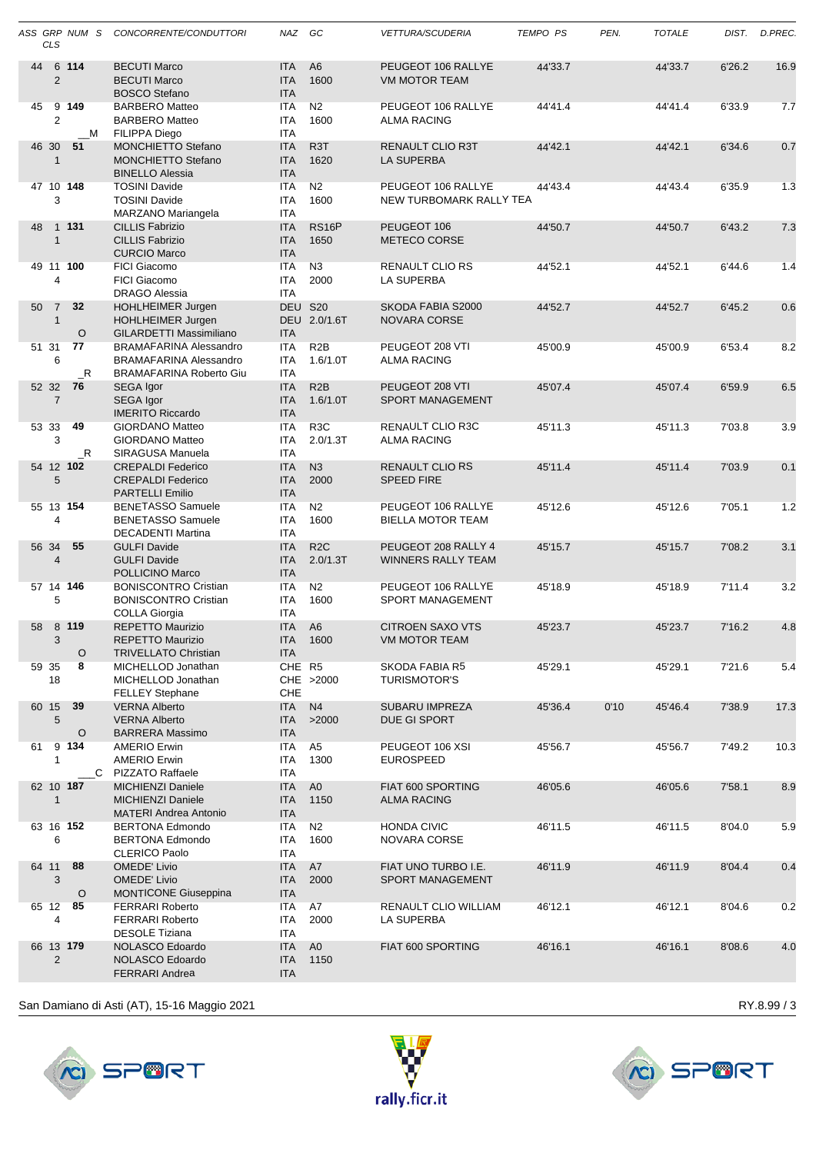|    | <b>CLS</b>                     | ASS GRP NUM S    | CONCORRENTE/CONDUTTORI                                                                    | NAZ                                    | GC                           | <b>VETTURA/SCUDERIA</b>                          | <b>TEMPO PS</b> | PEN. | <b>TOTALE</b> | DIST.  | D.PREC. |
|----|--------------------------------|------------------|-------------------------------------------------------------------------------------------|----------------------------------------|------------------------------|--------------------------------------------------|-----------------|------|---------------|--------|---------|
| 44 | $\overline{2}$                 | 6 114            | <b>BECUTI Marco</b><br><b>BECUTI Marco</b><br><b>BOSCO Stefano</b>                        | <b>ITA</b><br><b>ITA</b><br><b>ITA</b> | A <sub>6</sub><br>1600       | PEUGEOT 106 RALLYE<br><b>VM MOTOR TEAM</b>       | 44'33.7         |      | 44'33.7       | 6'26.2 | 16.9    |
| 45 | 2                              | 9 149<br>M       | <b>BARBERO Matteo</b><br><b>BARBERO Matteo</b><br><b>FILIPPA Diego</b>                    | <b>ITA</b><br><b>ITA</b><br><b>ITA</b> | N <sub>2</sub><br>1600       | PEUGEOT 106 RALLYE<br><b>ALMA RACING</b>         | 44'41.4         |      | 44'41.4       | 6'33.9 | 7.7     |
|    | 46 30<br>$\mathbf{1}$          | 51               | <b>MONCHIETTO Stefano</b><br><b>MONCHIETTO Stefano</b><br><b>BINELLO Alessia</b>          | <b>ITA</b><br><b>ITA</b><br><b>ITA</b> | R <sub>3</sub> T<br>1620     | <b>RENAULT CLIO R3T</b><br>LA SUPERBA            | 44'42.1         |      | 44'42.1       | 6'34.6 | 0.7     |
|    | 3                              | 47 10 148        | <b>TOSINI Davide</b><br><b>TOSINI Davide</b><br>MARZANO Mariangela                        | <b>ITA</b><br><b>ITA</b><br><b>ITA</b> | N <sub>2</sub><br>1600       | PEUGEOT 106 RALLYE<br>NEW TURBOMARK RALLY TEA    | 44'43.4         |      | 44'43.4       | 6'35.9 | 1.3     |
| 48 | $\mathbf{1}$                   | 1 131            | <b>CILLIS Fabrizio</b><br><b>CILLIS Fabrizio</b><br><b>CURCIO Marco</b>                   | <b>ITA</b><br><b>ITA</b><br><b>ITA</b> | <b>RS16P</b><br>1650         | PEUGEOT 106<br><b>METECO CORSE</b>               | 44'50.7         |      | 44'50.7       | 6'43.2 | 7.3     |
|    | 4                              | 49 11 100        | <b>FICI Giacomo</b><br><b>FICI Giacomo</b><br><b>DRAGO Alessia</b>                        | <b>ITA</b><br><b>ITA</b><br><b>ITA</b> | N <sub>3</sub><br>2000       | RENAULT CLIO RS<br>LA SUPERBA                    | 44'52.1         |      | 44'52.1       | 6'44.6 | 1.4     |
| 50 | $\overline{7}$<br>$\mathbf{1}$ | 32<br>$\circ$    | HOHLHEIMER Jurgen<br>HOHLHEIMER Jurgen<br>GILARDETTI Massimiliano                         | DEU S20<br><b>ITA</b>                  | DEU 2.0/1.6T                 | SKODA FABIA S2000<br><b>NOVARA CORSE</b>         | 44'52.7         |      | 44'52.7       | 6'45.2 | 0.6     |
|    | 51 31<br>6                     | 77<br>$\_R$      | <b>BRAMAFARINA Alessandro</b><br><b>BRAMAFARINA Alessandro</b><br>BRAMAFARINA Roberto Giu | <b>ITA</b><br><b>ITA</b><br><b>ITA</b> | R2B<br>1.6/1.0T              | PEUGEOT 208 VTI<br><b>ALMA RACING</b>            | 45'00.9         |      | 45'00.9       | 6'53.4 | 8.2     |
|    | 52 32<br>$\overline{7}$        | - 76             | SEGA Igor<br>SEGA Igor<br><b>IMERITO Riccardo</b>                                         | <b>ITA</b><br><b>ITA</b><br><b>ITA</b> | R2B<br>1.6/1.0T              | PEUGEOT 208 VTI<br><b>SPORT MANAGEMENT</b>       | 45'07.4         |      | 45'07.4       | 6'59.9 | 6.5     |
|    | 53 33<br>3                     | 49<br>$_{\rm R}$ | <b>GIORDANO Matteo</b><br>GIORDANO Matteo<br>SIRAGUSA Manuela                             | <b>ITA</b><br><b>ITA</b><br><b>ITA</b> | R <sub>3</sub> C<br>2.0/1.3T | RENAULT CLIO R3C<br><b>ALMA RACING</b>           | 45'11.3         |      | 45'11.3       | 7'03.8 | 3.9     |
|    | 5                              | 54 12 102        | <b>CREPALDI Federico</b><br><b>CREPALDI Federico</b><br><b>PARTELLI Emilio</b>            | <b>ITA</b><br><b>ITA</b><br><b>ITA</b> | N <sub>3</sub><br>2000       | <b>RENAULT CLIO RS</b><br><b>SPEED FIRE</b>      | 45'11.4         |      | 45'11.4       | 7'03.9 | 0.1     |
|    | 4                              | 55 13 154        | <b>BENETASSO Samuele</b><br><b>BENETASSO Samuele</b><br><b>DECADENTI Martina</b>          | <b>ITA</b><br><b>ITA</b><br><b>ITA</b> | N <sub>2</sub><br>1600       | PEUGEOT 106 RALLYE<br><b>BIELLA MOTOR TEAM</b>   | 45'12.6         |      | 45'12.6       | 7'05.1 | 1.2     |
|    | 56 34<br>$\overline{4}$        | 55               | <b>GULFI Davide</b><br><b>GULFI Davide</b><br>POLLICINO Marco                             | <b>ITA</b><br><b>ITA</b><br><b>ITA</b> | R <sub>2</sub> C<br>2.0/1.3T | PEUGEOT 208 RALLY 4<br><b>WINNERS RALLY TEAM</b> | 45'15.7         |      | 45'15.7       | 7'08.2 | 3.1     |
|    | 5                              | 57 14 146        | <b>BONISCONTRO Cristian</b><br><b>BONISCONTRO Cristian</b><br><b>COLLA Giorgia</b>        | <b>ITA</b><br><b>ITA</b><br><b>ITA</b> | N <sub>2</sub><br>1600       | PEUGEOT 106 RALLYE<br>SPORT MANAGEMENT           | 45'18.9         |      | 45'18.9       | 7'11.4 | 3.2     |
| 58 | 3                              | 8 119<br>$\circ$ | REPETTO Maurizio<br>REPETTO Maurizio<br><b>TRIVELLATO Christian</b>                       | <b>ITA</b><br><b>ITA</b><br>ITA        | A <sub>6</sub><br>1600       | <b>CITROEN SAXO VTS</b><br><b>VM MOTOR TEAM</b>  | 45'23.7         |      | 45'23.7       | 7'16.2 | 4.8     |
|    | 59 35<br>18                    | 8                | MICHELLOD Jonathan<br>MICHELLOD Jonathan<br><b>FELLEY Stephane</b>                        | CHE R5<br>CHE                          | CHE >2000                    | SKODA FABIA R5<br>TURISMOTOR'S                   | 45'29.1         |      | 45'29.1       | 7'21.6 | 5.4     |
|    | 60 15<br>5                     | 39<br>O          | <b>VERNA Alberto</b><br><b>VERNA Alberto</b><br><b>BARRERA Massimo</b>                    | <b>ITA</b><br><b>ITA</b><br><b>ITA</b> | N <sub>4</sub><br>>2000      | SUBARU IMPREZA<br>DUE GI SPORT                   | 45'36.4         | 0'10 | 45'46.4       | 7'38.9 | 17.3    |
| 61 | 1                              | 9 134<br>C       | <b>AMERIO Erwin</b><br><b>AMERIO Erwin</b><br>PIZZATO Raffaele                            | <b>ITA</b><br>ITA<br>ITA               | A <sub>5</sub><br>1300       | PEUGEOT 106 XSI<br><b>EUROSPEED</b>              | 45'56.7         |      | 45'56.7       | 7'49.2 | 10.3    |
|    | $\mathbf{1}$                   | 62 10 187        | <b>MICHIENZI Daniele</b><br><b>MICHIENZI Daniele</b><br><b>MATERI Andrea Antonio</b>      | <b>ITA</b><br><b>ITA</b><br><b>ITA</b> | A <sub>0</sub><br>1150       | FIAT 600 SPORTING<br><b>ALMA RACING</b>          | 46'05.6         |      | 46'05.6       | 7'58.1 | 8.9     |
|    | 6                              | 63 16 152        | <b>BERTONA Edmondo</b><br><b>BERTONA Edmondo</b><br><b>CLERICO Paolo</b>                  | ITA<br><b>ITA</b><br>ITA               | N <sub>2</sub><br>1600       | <b>HONDA CIVIC</b><br>NOVARA CORSE               | 46'11.5         |      | 46'11.5       | 8'04.0 | 5.9     |
|    | 64 11<br>3                     | 88<br>O          | <b>OMEDE' Livio</b><br><b>OMEDE' Livio</b><br><b>MONTICONE Giuseppina</b>                 | <b>ITA</b><br><b>ITA</b><br>ITA        | A7<br>2000                   | FIAT UNO TURBO I.E.<br><b>SPORT MANAGEMENT</b>   | 46'11.9         |      | 46'11.9       | 8'04.4 | 0.4     |
|    | 4                              | 65 12 85         | <b>FERRARI Roberto</b><br><b>FERRARI Roberto</b><br><b>DESOLE Tiziana</b>                 | <b>ITA</b><br>ITA<br><b>ITA</b>        | A7<br>2000                   | RENAULT CLIO WILLIAM<br>LA SUPERBA               | 46'12.1         |      | 46'12.1       | 8'04.6 | 0.2     |
|    | $\overline{2}$                 | 66 13 179        | NOLASCO Edoardo<br>NOLASCO Edoardo<br><b>FERRARI Andrea</b>                               | ITA<br>ITA<br>ITA                      | A <sub>0</sub><br>1150       | FIAT 600 SPORTING                                | 46'16.1         |      | 46'16.1       | 8'08.6 | 4.0     |
|    |                                |                  |                                                                                           |                                        |                              |                                                  |                 |      |               |        |         |

San Damiano di Asti (AT), 15-16 Maggio 2021 Maggio 2021 Alexandro San Damiano di Asti (AT), 15-16 Maggio 2021





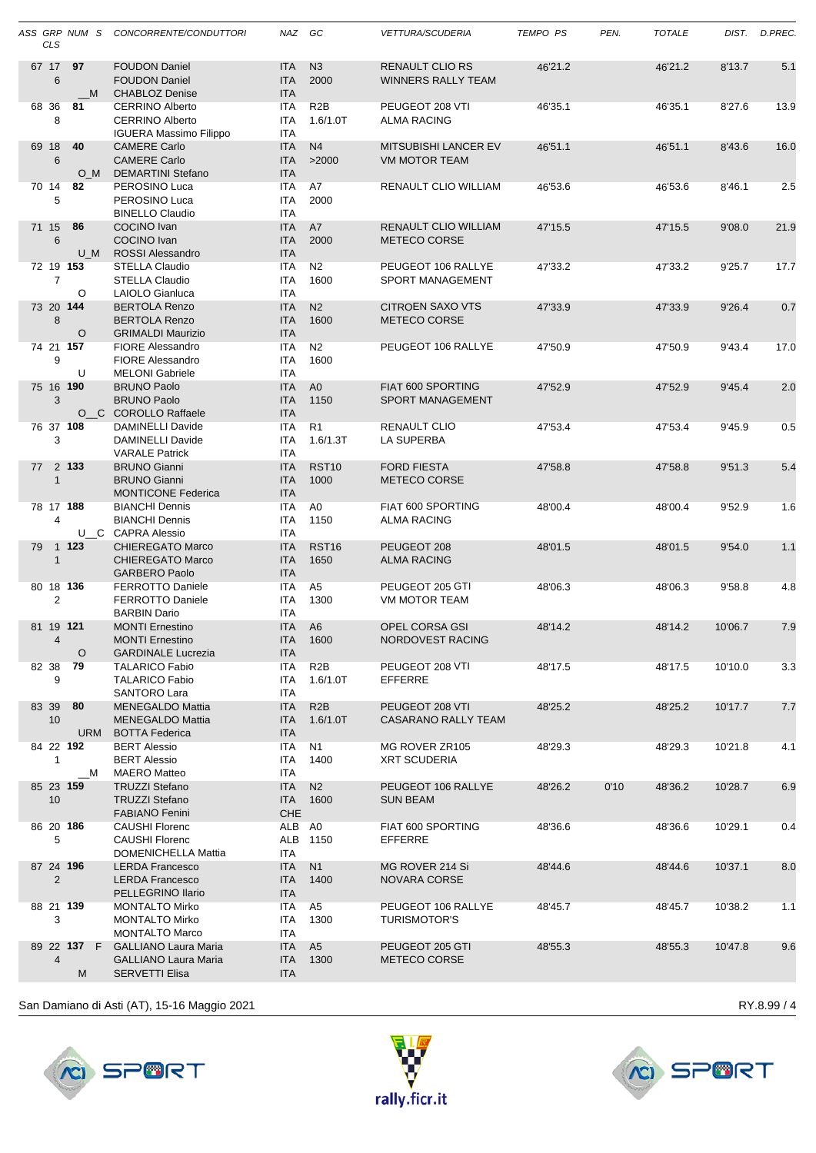|           | <b>CLS</b>     | ASS GRP NUM S    | CONCORRENTE/CONDUTTORI                                                              | NAZ GC                                 |                              | <b>VETTURA/SCUDERIA</b>                             | <b>TEMPO PS</b> | PEN. | <b>TOTALE</b> |         | DIST. D.PREC. |
|-----------|----------------|------------------|-------------------------------------------------------------------------------------|----------------------------------------|------------------------------|-----------------------------------------------------|-----------------|------|---------------|---------|---------------|
| 67 17     | 6              | 97<br>M          | <b>FOUDON Daniel</b><br><b>FOUDON Daniel</b><br><b>CHABLOZ Denise</b>               | <b>ITA</b><br><b>ITA</b><br><b>ITA</b> | N <sub>3</sub><br>2000       | <b>RENAULT CLIO RS</b><br><b>WINNERS RALLY TEAM</b> | 46'21.2         |      | 46'21.2       | 8'13.7  | 5.1           |
| 68 36     | 8              | 81               | <b>CERRINO Alberto</b><br><b>CERRINO Alberto</b><br><b>IGUERA Massimo Filippo</b>   | <b>ITA</b><br><b>ITA</b><br><b>ITA</b> | R <sub>2</sub> B<br>1.6/1.0T | PEUGEOT 208 VTI<br><b>ALMA RACING</b>               | 46'35.1         |      | 46'35.1       | 8'27.6  | 13.9          |
| 69 18     | 6              | 40<br>O M        | <b>CAMERE Carlo</b><br><b>CAMERE Carlo</b><br><b>DEMARTINI Stefano</b>              | <b>ITA</b><br><b>ITA</b><br><b>ITA</b> | N <sub>4</sub><br>>2000      | <b>MITSUBISHI LANCER EV</b><br><b>VM MOTOR TEAM</b> | 46'51.1         |      | 46'51.1       | 8'43.6  | 16.0          |
| 70 14     | 5              | 82               | PEROSINO Luca<br>PEROSINO Luca<br><b>BINELLO Claudio</b>                            | <b>ITA</b><br><b>ITA</b><br><b>ITA</b> | A7<br>2000                   | RENAULT CLIO WILLIAM                                | 46'53.6         |      | 46'53.6       | 8'46.1  | 2.5           |
| 71 15     | 6              | 86<br>U M        | <b>COCINO</b> Ivan<br><b>COCINO Ivan</b><br><b>ROSSI Alessandro</b>                 | <b>ITA</b><br><b>ITA</b><br><b>ITA</b> | A7<br>2000                   | RENAULT CLIO WILLIAM<br><b>METECO CORSE</b>         | 47'15.5         |      | 47'15.5       | 9'08.0  | 21.9          |
| 72 19 153 | $\overline{7}$ | O                | <b>STELLA Claudio</b><br><b>STELLA Claudio</b><br>LAIOLO Gianluca                   | <b>ITA</b><br><b>ITA</b><br><b>ITA</b> | N <sub>2</sub><br>1600       | PEUGEOT 106 RALLYE<br><b>SPORT MANAGEMENT</b>       | 47'33.2         |      | 47'33.2       | 9'25.7  | 17.7          |
| 73 20 144 | 8              | O                | <b>BERTOLA Renzo</b><br><b>BERTOLA Renzo</b><br><b>GRIMALDI Maurizio</b>            | <b>ITA</b><br><b>ITA</b><br><b>ITA</b> | N <sub>2</sub><br>1600       | <b>CITROEN SAXO VTS</b><br>METECO CORSE             | 47'33.9         |      | 47'33.9       | 9'26.4  | 0.7           |
| 74 21 157 | 9              | U                | <b>FIORE Alessandro</b><br><b>FIORE Alessandro</b><br><b>MELONI</b> Gabriele        | <b>ITA</b><br><b>ITA</b><br><b>ITA</b> | N2<br>1600                   | PEUGEOT 106 RALLYE                                  | 47'50.9         |      | 47'50.9       | 9'43.4  | 17.0          |
| 75 16 190 | 3              |                  | <b>BRUNO Paolo</b><br><b>BRUNO Paolo</b><br>O_C COROLLO Raffaele                    | <b>ITA</b><br><b>ITA</b><br><b>ITA</b> | A <sub>0</sub><br>1150       | FIAT 600 SPORTING<br><b>SPORT MANAGEMENT</b>        | 47'52.9         |      | 47'52.9       | 9'45.4  | 2.0           |
| 76 37 108 | 3              |                  | <b>DAMINELLI Davide</b><br><b>DAMINELLI Davide</b><br><b>VARALE Patrick</b>         | <b>ITA</b><br>ITA<br><b>ITA</b>        | R <sub>1</sub><br>1.6/1.3T   | <b>RENAULT CLIO</b><br>LA SUPERBA                   | 47'53.4         |      | 47'53.4       | 9'45.9  | 0.5           |
| 77        | $\mathbf{1}$   | 2 133            | <b>BRUNO Gianni</b><br><b>BRUNO Gianni</b><br><b>MONTICONE Federica</b>             | <b>ITA</b><br><b>ITA</b><br><b>ITA</b> | <b>RST10</b><br>1000         | <b>FORD FIESTA</b><br>METECO CORSE                  | 47'58.8         |      | 47'58.8       | 9'51.3  | 5.4           |
| 78 17 188 | $\overline{4}$ |                  | <b>BIANCHI Dennis</b><br><b>BIANCHI Dennis</b><br>U C CAPRA Alessio                 | <b>ITA</b><br><b>ITA</b><br><b>ITA</b> | A0<br>1150                   | FIAT 600 SPORTING<br><b>ALMA RACING</b>             | 48'00.4         |      | 48'00.4       | 9'52.9  | 1.6           |
| 79        | $\mathbf{1}$   | 1 1 2 3          | <b>CHIEREGATO Marco</b><br><b>CHIEREGATO Marco</b><br><b>GARBERO Paolo</b>          | <b>ITA</b><br><b>ITA</b><br><b>ITA</b> | RST <sub>16</sub><br>1650    | PEUGEOT 208<br><b>ALMA RACING</b>                   | 48'01.5         |      | 48'01.5       | 9'54.0  | 1.1           |
| 80 18 136 | 2              |                  | <b>FERROTTO Daniele</b><br><b>FERROTTO Daniele</b><br><b>BARBIN Dario</b>           | <b>ITA</b><br><b>ITA</b><br><b>ITA</b> | A <sub>5</sub><br>1300       | PEUGEOT 205 GTI<br>VM MOTOR TEAM                    | 48'06.3         |      | 48'06.3       | 9'58.8  | 4.8           |
| 81 19 121 | $\overline{4}$ | O                | <b>MONTI Ernestino</b><br><b>MONTI Ernestino</b><br><b>GARDINALE Lucrezia</b>       | <b>ITA</b><br><b>ITA</b><br>ITA        | A <sub>6</sub><br>1600       | <b>OPEL CORSA GSI</b><br>NORDOVEST RACING           | 48'14.2         |      | 48'14.2       | 10'06.7 | 7.9           |
| 82 38     | 9              | 79               | <b>TALARICO Fabio</b><br><b>TALARICO Fabio</b><br>SANTORO Lara                      | ITA<br>ITA<br>ITA                      | R <sub>2</sub> B<br>1.6/1.0T | PEUGEOT 208 VTI<br><b>EFFERRE</b>                   | 48'17.5         |      | 48'17.5       | 10'10.0 | 3.3           |
| 83 39     | 10             | 80<br>URM        | <b>MENEGALDO Mattia</b><br><b>MENEGALDO Mattia</b><br><b>BOTTA Federica</b>         | <b>ITA</b><br>ITA<br><b>ITA</b>        | R <sub>2</sub> B<br>1.6/1.0T | PEUGEOT 208 VTI<br>CASARANO RALLY TEAM              | 48'25.2         |      | 48'25.2       | 10'17.7 | 7.7           |
|           | $\mathbf{1}$   | 84 22 192<br>M   | <b>BERT Alessio</b><br><b>BERT Alessio</b><br><b>MAERO Matteo</b>                   | ITA<br>ITA<br>ITA                      | N1<br>1400                   | MG ROVER ZR105<br><b>XRT SCUDERIA</b>               | 48'29.3         |      | 48'29.3       | 10'21.8 | 4.1           |
| 85 23 159 | 10             |                  | <b>TRUZZI Stefano</b><br><b>TRUZZI Stefano</b><br><b>FABIANO Fenini</b>             | <b>ITA</b><br><b>ITA</b><br>CHE        | N2<br>1600                   | PEUGEOT 106 RALLYE<br><b>SUN BEAM</b>               | 48'26.2         | 0'10 | 48'36.2       | 10'28.7 | 6.9           |
| 86 20 186 | 5              |                  | CAUSHI Florenc<br><b>CAUSHI Florenc</b><br>DOMENICHELLA Mattia                      | ALB A0<br>ALB<br>ITA                   | 1150                         | FIAT 600 SPORTING<br>EFFERRE                        | 48'36.6         |      | 48'36.6       | 10'29.1 | 0.4           |
| 87 24 196 | 2              |                  | <b>LERDA Francesco</b><br><b>LERDA Francesco</b><br>PELLEGRINO Ilario               | <b>ITA</b><br><b>ITA</b><br><b>ITA</b> | N1<br>1400                   | MG ROVER 214 Si<br>NOVARA CORSE                     | 48'44.6         |      | 48'44.6       | 10'37.1 | 8.0           |
| 88 21 139 | 3              |                  | <b>MONTALTO Mirko</b><br><b>MONTALTO Mirko</b><br><b>MONTALTO Marco</b>             | ITA<br>ITA<br>ITA                      | A5<br>1300                   | PEUGEOT 106 RALLYE<br><b>TURISMOTOR'S</b>           | 48'45.7         |      | 48'45.7       | 10'38.2 | 1.1           |
|           | $\overline{4}$ | 89 22 137 F<br>M | <b>GALLIANO Laura Maria</b><br><b>GALLIANO Laura Maria</b><br><b>SERVETTI Elisa</b> | <b>ITA</b><br>ITA<br><b>ITA</b>        | A <sub>5</sub><br>1300       | PEUGEOT 205 GTI<br>METECO CORSE                     | 48'55.3         |      | 48'55.3       | 10'47.8 | 9.6           |





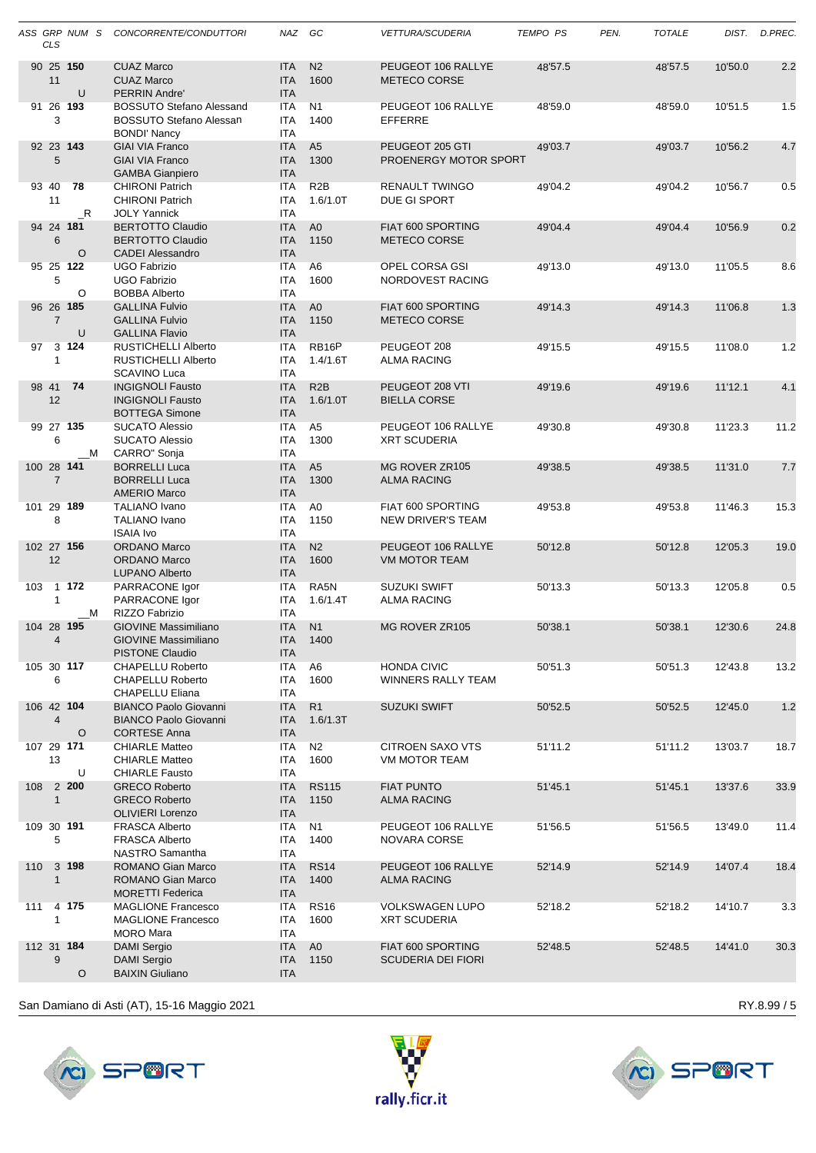|     | CLS                          | ASS GRP NUM S         | CONCORRENTE/CONDUTTORI                                                               | NAZ GC                                 |                              | <i><b>VETTURA/SCUDERIA</b></i>                  | <b>TEMPO PS</b> | PEN. | <b>TOTALE</b> |         | DIST. D.PREC. |
|-----|------------------------------|-----------------------|--------------------------------------------------------------------------------------|----------------------------------------|------------------------------|-------------------------------------------------|-----------------|------|---------------|---------|---------------|
|     | 11                           | 90 25 150<br>U        | <b>CUAZ Marco</b><br><b>CUAZ Marco</b><br>PERRIN Andre'                              | <b>ITA</b><br><b>ITA</b><br><b>ITA</b> | N <sub>2</sub><br>1600       | PEUGEOT 106 RALLYE<br><b>METECO CORSE</b>       | 48'57.5         |      | 48'57.5       | 10'50.0 | 2.2           |
|     | 3                            | 91 26 193             | <b>BOSSUTO Stefano Alessand</b><br>BOSSUTO Stefano Alessan<br><b>BONDI' Nancy</b>    | <b>ITA</b><br><b>ITA</b><br><b>ITA</b> | N <sub>1</sub><br>1400       | PEUGEOT 106 RALLYE<br>EFFERRE                   | 48'59.0         |      | 48'59.0       | 10'51.5 | 1.5           |
|     | 5                            | 92 23 143             | <b>GIAI VIA Franco</b><br><b>GIAI VIA Franco</b><br><b>GAMBA Gianpiero</b>           | <b>ITA</b><br><b>ITA</b><br><b>ITA</b> | A <sub>5</sub><br>1300       | PEUGEOT 205 GTI<br>PROENERGY MOTOR SPORT        | 49'03.7         |      | 49'03.7       | 10'56.2 | 4.7           |
|     | 93 40<br>11                  | 78<br>R               | <b>CHIRONI Patrich</b><br><b>CHIRONI Patrich</b><br><b>JOLY Yannick</b>              | <b>ITA</b><br><b>ITA</b><br><b>ITA</b> | R <sub>2</sub> B<br>1.6/1.0T | <b>RENAULT TWINGO</b><br>DUE GI SPORT           | 49'04.2         |      | 49'04.2       | 10'56.7 | 0.5           |
|     | $6\phantom{1}$               | 94 24 181<br>$\circ$  | <b>BERTOTTO Claudio</b><br><b>BERTOTTO Claudio</b><br><b>CADEI Alessandro</b>        | <b>ITA</b><br><b>ITA</b><br><b>ITA</b> | A <sub>0</sub><br>1150       | FIAT 600 SPORTING<br>METECO CORSE               | 49'04.4         |      | 49'04.4       | 10'56.9 | 0.2           |
|     | 5                            | 95 25 122<br>O        | <b>UGO Fabrizio</b><br><b>UGO Fabrizio</b><br><b>BOBBA Alberto</b>                   | <b>ITA</b><br><b>ITA</b><br><b>ITA</b> | A <sub>6</sub><br>1600       | OPEL CORSA GSI<br>NORDOVEST RACING              | 49'13.0         |      | 49'13.0       | 11'05.5 | 8.6           |
|     | $\overline{7}$               | 96 26 185<br>U        | <b>GALLINA Fulvio</b><br><b>GALLINA Fulvio</b><br><b>GALLINA Flavio</b>              | <b>ITA</b><br><b>ITA</b><br><b>ITA</b> | A <sub>0</sub><br>1150       | FIAT 600 SPORTING<br>METECO CORSE               | 49'14.3         |      | 49'14.3       | 11'06.8 | 1.3           |
| 97  | $\mathbf{1}$                 | 3 1 2 4               | <b>RUSTICHELLI Alberto</b><br>RUSTICHELLI Alberto<br><b>SCAVINO Luca</b>             | <b>ITA</b><br>ITA<br><b>ITA</b>        | RB16P<br>1.4/1.6T            | PEUGEOT 208<br><b>ALMA RACING</b>               | 49'15.5         |      | 49'15.5       | 11'08.0 | 1.2           |
|     | 12                           | 98 41 74              | <b>INGIGNOLI Fausto</b><br><b>INGIGNOLI Fausto</b><br><b>BOTTEGA Simone</b>          | <b>ITA</b><br><b>ITA</b><br><b>ITA</b> | R2B<br>1.6/1.0T              | PEUGEOT 208 VTI<br><b>BIELLA CORSE</b>          | 49'19.6         |      | 49'19.6       | 11'12.1 | 4.1           |
|     | 6                            | 99 27 135<br>М        | <b>SUCATO Alessio</b><br><b>SUCATO Alessio</b><br>CARRO" Sonja                       | <b>ITA</b><br><b>ITA</b><br><b>ITA</b> | A <sub>5</sub><br>1300       | PEUGEOT 106 RALLYE<br><b>XRT SCUDERIA</b>       | 49'30.8         |      | 49'30.8       | 11'23.3 | 11.2          |
|     | 100 28 141<br>$\overline{7}$ |                       | <b>BORRELLI Luca</b><br><b>BORRELLI Luca</b><br><b>AMERIO Marco</b>                  | <b>ITA</b><br><b>ITA</b><br><b>ITA</b> | A <sub>5</sub><br>1300       | MG ROVER ZR105<br><b>ALMA RACING</b>            | 49'38.5         |      | 49'38.5       | 11'31.0 | 7.7           |
|     | 8                            | 101 29 189            | TALIANO Ivano<br><b>TALIANO Ivano</b><br><b>ISAIA Ivo</b>                            | <b>ITA</b><br><b>ITA</b><br><b>ITA</b> | A0<br>1150                   | FIAT 600 SPORTING<br><b>NEW DRIVER'S TEAM</b>   | 49'53.8         |      | 49'53.8       | 11'46.3 | 15.3          |
|     | 102 27 156<br>12             |                       | <b>ORDANO Marco</b><br><b>ORDANO Marco</b><br><b>LUPANO Alberto</b>                  | <b>ITA</b><br><b>ITA</b><br><b>ITA</b> | N <sub>2</sub><br>1600       | PEUGEOT 106 RALLYE<br><b>VM MOTOR TEAM</b>      | 50'12.8         |      | 50'12.8       | 12'05.3 | 19.0          |
| 103 | 1                            | 1 172<br>M            | PARRACONE Igor<br>PARRACONE Igor<br>RIZZO Fabrizio                                   | <b>ITA</b><br><b>ITA</b><br>ITA        | RA5N<br>1.6/1.4T             | <b>SUZUKI SWIFT</b><br><b>ALMA RACING</b>       | 50'13.3         |      | 50'13.3       | 12'05.8 | 0.5           |
|     | 4                            | 104 28 195            | <b>GIOVINE Massimiliano</b><br><b>GIOVINE Massimiliano</b><br><b>PISTONE Claudio</b> | <b>ITA</b><br><b>ITA</b><br><b>ITA</b> | N1<br>1400                   | <b>MG ROVER ZR105</b>                           | 50'38.1         |      | 50'38.1       | 12'30.6 | 24.8          |
|     | 6                            | 105 30 117            | <b>CHAPELLU Roberto</b><br><b>CHAPELLU Roberto</b><br><b>CHAPELLU Eliana</b>         | <b>ITA</b><br>ITA<br><b>ITA</b>        | A <sub>6</sub><br>1600       | <b>HONDA CIVIC</b><br><b>WINNERS RALLY TEAM</b> | 50'51.3         |      | 50'51.3       | 12'43.8 | 13.2          |
|     | $\overline{4}$               | 106 42 104<br>O       | <b>BIANCO Paolo Giovanni</b><br><b>BIANCO Paolo Giovanni</b><br><b>CORTESE Anna</b>  | <b>ITA</b><br><b>ITA</b><br><b>ITA</b> | R <sub>1</sub><br>1.6/1.3T   | <b>SUZUKI SWIFT</b>                             | 50'52.5         |      | 50'52.5       | 12'45.0 | 1.2           |
|     | 13                           | 107 29 171<br>U       | <b>CHIARLE Matteo</b><br><b>CHIARLE Matteo</b><br><b>CHIARLE Fausto</b>              | <b>ITA</b><br><b>ITA</b><br><b>ITA</b> | N2<br>1600                   | CITROEN SAXO VTS<br>VM MOTOR TEAM               | 51'11.2         |      | 51'11.2       | 13'03.7 | 18.7          |
| 108 | $\mathbf{1}$                 | 2 200                 | <b>GRECO Roberto</b><br><b>GRECO Roberto</b><br><b>OLIVIERI Lorenzo</b>              | <b>ITA</b><br><b>ITA</b><br><b>ITA</b> | <b>RS115</b><br>1150         | <b>FIAT PUNTO</b><br><b>ALMA RACING</b>         | 51'45.1         |      | 51'45.1       | 13'37.6 | 33.9          |
|     | 109 30 191<br>5              |                       | <b>FRASCA Alberto</b><br><b>FRASCA Alberto</b><br>NASTRO Samantha                    | ITA<br><b>ITA</b><br><b>ITA</b>        | N1<br>1400                   | PEUGEOT 106 RALLYE<br>NOVARA CORSE              | 51'56.5         |      | 51'56.5       | 13'49.0 | 11.4          |
| 110 | $\mathbf{1}$                 | 3 198                 | ROMANO Gian Marco<br>ROMANO Gian Marco<br><b>MORETTI Federica</b>                    | <b>ITA</b><br><b>ITA</b><br><b>ITA</b> | <b>RS14</b><br>1400          | PEUGEOT 106 RALLYE<br><b>ALMA RACING</b>        | 52'14.9         |      | 52'14.9       | 14'07.4 | 18.4          |
| 111 | 1                            | 4 175                 | <b>MAGLIONE Francesco</b><br><b>MAGLIONE Francesco</b><br><b>MORO</b> Mara           | ITA<br>ITA<br><b>ITA</b>               | <b>RS16</b><br>1600          | <b>VOLKSWAGEN LUPO</b><br><b>XRT SCUDERIA</b>   | 52'18.2         |      | 52'18.2       | 14'10.7 | 3.3           |
|     | 9                            | 112 31 184<br>$\circ$ | <b>DAMI Sergio</b><br><b>DAMI Sergio</b><br><b>BAIXIN Giuliano</b>                   | <b>ITA</b><br><b>ITA</b><br><b>ITA</b> | A <sub>0</sub><br>1150       | FIAT 600 SPORTING<br><b>SCUDERIA DEI FIORI</b>  | 52'48.5         |      | 52'48.5       | 14'41.0 | 30.3          |
|     |                              |                       |                                                                                      |                                        |                              |                                                 |                 |      |               |         |               |





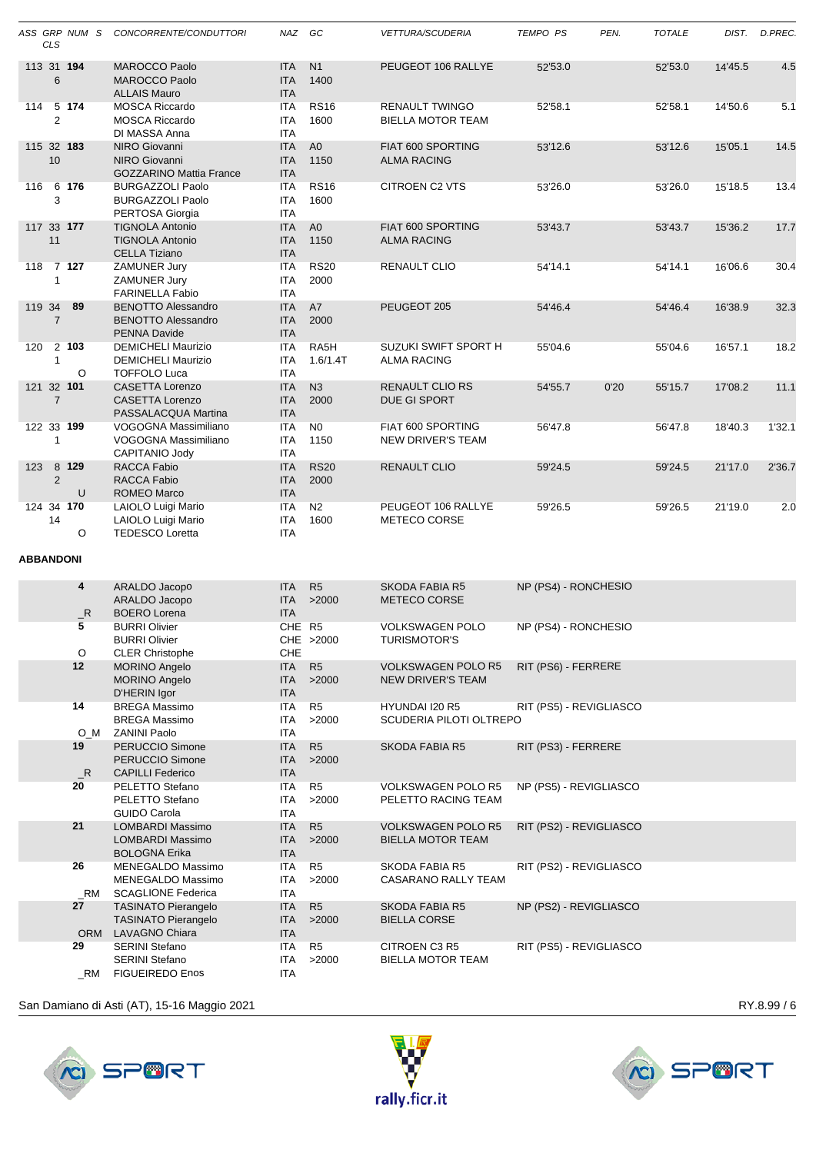|                  | <b>CLS</b>     | ASS GRP NUM S   | CONCORRENTE/CONDUTTORI                                                            | NAZ GC                                 |                         | <b>VETTURA/SCUDERIA</b>                               | <b>TEMPO PS</b>         | PEN. | <b>TOTALE</b> | DIST.   | D.PREC. |
|------------------|----------------|-----------------|-----------------------------------------------------------------------------------|----------------------------------------|-------------------------|-------------------------------------------------------|-------------------------|------|---------------|---------|---------|
|                  | 6              | 113 31 194      | <b>MAROCCO Paolo</b><br><b>MAROCCO Paolo</b><br><b>ALLAIS Mauro</b>               | <b>ITA</b><br><b>ITA</b><br><b>ITA</b> | N <sub>1</sub><br>1400  | PEUGEOT 106 RALLYE                                    | 52'53.0                 |      | 52'53.0       | 14'45.5 | 4.5     |
| 114              | $\overline{2}$ | 5 174           | <b>MOSCA Riccardo</b><br><b>MOSCA Riccardo</b><br>DI MASSA Anna                   | <b>ITA</b><br><b>ITA</b><br><b>ITA</b> | <b>RS16</b><br>1600     | <b>RENAULT TWINGO</b><br><b>BIELLA MOTOR TEAM</b>     | 52'58.1                 |      | 52'58.1       | 14'50.6 | 5.1     |
|                  | 10             | 115 32 183      | <b>NIRO Giovanni</b><br><b>NIRO Giovanni</b><br><b>GOZZARINO Mattia France</b>    | <b>ITA</b><br><b>ITA</b><br><b>ITA</b> | A <sub>0</sub><br>1150  | FIAT 600 SPORTING<br><b>ALMA RACING</b>               | 53'12.6                 |      | 53'12.6       | 15'05.1 | 14.5    |
| 116              | 3              | 6 176           | <b>BURGAZZOLI Paolo</b><br><b>BURGAZZOLI Paolo</b><br>PERTOSA Giorgia             | <b>ITA</b><br><b>ITA</b><br><b>ITA</b> | <b>RS16</b><br>1600     | CITROEN C2 VTS                                        | 53'26.0                 |      | 53'26.0       | 15'18.5 | 13.4    |
|                  | 11             | 117 33 177      | <b>TIGNOLA Antonio</b><br><b>TIGNOLA Antonio</b><br><b>CELLA Tiziano</b>          | <b>ITA</b><br><b>ITA</b><br><b>ITA</b> | A <sub>0</sub><br>1150  | FIAT 600 SPORTING<br><b>ALMA RACING</b>               | 53'43.7                 |      | 53'43.7       | 15'36.2 | 17.7    |
| 118              | $\mathbf{1}$   | 7 127           | ZAMUNER Jury<br>ZAMUNER Jury<br><b>FARINELLA Fabio</b>                            | <b>ITA</b><br><b>ITA</b><br><b>ITA</b> | <b>RS20</b><br>2000     | RENAULT CLIO                                          | 54'14.1                 |      | 54'14.1       | 16'06.6 | 30.4    |
| 119 34           | $\overline{7}$ | 89              | <b>BENOTTO Alessandro</b><br><b>BENOTTO Alessandro</b><br><b>PENNA Davide</b>     | <b>ITA</b><br><b>ITA</b><br><b>ITA</b> | A7<br>2000              | PEUGEOT 205                                           | 54'46.4                 |      | 54'46.4       | 16'38.9 | 32.3    |
| 120              | $\mathbf{1}$   | 2 103<br>O      | <b>DEMICHELI Maurizio</b><br><b>DEMICHELI Maurizio</b><br><b>TOFFOLO Luca</b>     | <b>ITA</b><br><b>ITA</b><br><b>ITA</b> | RA5H<br>1.6/1.4T        | SUZUKI SWIFT SPORT H<br><b>ALMA RACING</b>            | 55'04.6                 |      | 55'04.6       | 16'57.1 | 18.2    |
|                  | $\overline{7}$ | 121 32 101      | <b>CASETTA Lorenzo</b><br><b>CASETTA Lorenzo</b><br>PASSALACQUA Martina           | <b>ITA</b><br><b>ITA</b><br><b>ITA</b> | N <sub>3</sub><br>2000  | RENAULT CLIO RS<br>DUE GI SPORT                       | 54'55.7                 | 0'20 | 55'15.7       | 17'08.2 | 11.1    |
|                  | $\mathbf{1}$   | 122 33 199      | VOGOGNA Massimiliano<br>VOGOGNA Massimiliano<br>CAPITANIO Jody                    | <b>ITA</b><br><b>ITA</b><br><b>ITA</b> | N <sub>0</sub><br>1150  | FIAT 600 SPORTING<br><b>NEW DRIVER'S TEAM</b>         | 56'47.8                 |      | 56'47.8       | 18'40.3 | 1'32.1  |
| 123              | $\overline{2}$ | 8 1 2 9<br>U    | RACCA Fabio<br><b>RACCA Fabio</b><br><b>ROMEO Marco</b>                           | <b>ITA</b><br><b>ITA</b><br><b>ITA</b> | <b>RS20</b><br>2000     | <b>RENAULT CLIO</b>                                   | 59'24.5                 |      | 59'24.5       | 21'17.0 | 2'36.7  |
|                  | 14             | 124 34 170<br>O | LAIOLO Luigi Mario<br>LAIOLO Luigi Mario<br><b>TEDESCO Loretta</b>                | ITA<br><b>ITA</b><br><b>ITA</b>        | N <sub>2</sub><br>1600  | PEUGEOT 106 RALLYE<br>METECO CORSE                    | 59'26.5                 |      | 59'26.5       | 21'19.0 | 2.0     |
| <b>ABBANDONI</b> |                |                 |                                                                                   |                                        |                         |                                                       |                         |      |               |         |         |
|                  |                | 4<br>$\_R$      | ARALDO Jacopo<br>ARALDO Jacopo<br><b>BOERO</b> Lorena                             | <b>ITA</b><br><b>ITA</b><br><b>ITA</b> | R <sub>5</sub><br>>2000 | <b>SKODA FABIA R5</b><br>METECO CORSE                 | NP (PS4) - RONCHESIO    |      |               |         |         |
|                  |                | 5<br>O          | <b>BURRI Olivier</b><br><b>BURRI Olivier</b><br><b>CLER Christophe</b>            | CHE R5<br>CHE                          | CHE >2000               | <b>VOLKSWAGEN POLO</b><br><b>TURISMOTOR'S</b>         | NP (PS4) - RONCHESIO    |      |               |         |         |
|                  |                | 12              | <b>MORINO Angelo</b><br><b>MORINO Angelo</b><br>D'HERIN Igor                      | <b>ITA</b><br><b>ITA</b><br><b>ITA</b> | R5<br>>2000             | <b>VOLKSWAGEN POLO R5</b><br>NEW DRIVER'S TEAM        | RIT (PS6) - FERRERE     |      |               |         |         |
|                  |                | 14<br>$O_M$     | <b>BREGA Massimo</b><br><b>BREGA Massimo</b><br><b>ZANINI Paolo</b>               | <b>ITA</b><br>ITA<br>ITA               | R <sub>5</sub><br>>2000 | HYUNDAI I20 R5<br>SCUDERIA PILOTI OLTREPO             | RIT (PS5) - REVIGLIASCO |      |               |         |         |
|                  |                | 19<br>$\_$ R    | <b>PERUCCIO Simone</b><br>PERUCCIO Simone<br><b>CAPILLI Federico</b>              | ITA<br>ITA<br><b>ITA</b>               | R <sub>5</sub><br>>2000 | <b>SKODA FABIA R5</b>                                 | RIT (PS3) - FERRERE     |      |               |         |         |
|                  |                | 20              | PELETTO Stefano<br>PELETTO Stefano<br><b>GUIDO Carola</b>                         | ITA<br>ITA<br><b>ITA</b>               | R <sub>5</sub><br>>2000 | <b>VOLKSWAGEN POLO R5</b><br>PELETTO RACING TEAM      | NP (PS5) - REVIGLIASCO  |      |               |         |         |
|                  |                | 21              | LOMBARDI Massimo<br>LOMBARDI Massimo<br><b>BOLOGNA Erika</b>                      | ITA<br>ITA<br><b>ITA</b>               | R5<br>>2000             | <b>VOLKSWAGEN POLO R5</b><br><b>BIELLA MOTOR TEAM</b> | RIT (PS2) - REVIGLIASCO |      |               |         |         |
|                  |                | 26<br>_RM       | MENEGALDO Massimo<br>MENEGALDO Massimo<br><b>SCAGLIONE Federica</b>               | <b>ITA</b><br>ITA<br>ITA               | R <sub>5</sub><br>>2000 | SKODA FABIA R5<br>CASARANO RALLY TEAM                 | RIT (PS2) - REVIGLIASCO |      |               |         |         |
|                  |                | 27<br>ORM       | <b>TASINATO Pierangelo</b><br><b>TASINATO Pierangelo</b><br><b>LAVAGNO Chiara</b> | ITA<br><b>ITA</b><br><b>ITA</b>        | R <sub>5</sub><br>>2000 | SKODA FABIA R5<br><b>BIELLA CORSE</b>                 | NP (PS2) - REVIGLIASCO  |      |               |         |         |
|                  |                | 29<br>_RM       | <b>SERINI Stefano</b><br><b>SERINI Stefano</b><br><b>FIGUEIREDO Enos</b>          | ITA<br><b>ITA</b><br><b>ITA</b>        | R <sub>5</sub><br>>2000 | CITROEN C3 R5<br><b>BIELLA MOTOR TEAM</b>             | RIT (PS5) - REVIGLIASCO |      |               |         |         |

San Damiano di Asti (AT), 15-16 Maggio 2021 Maggio 2021 Alexandro San Damiano di Asti (AT), 15-16 Maggio 2021





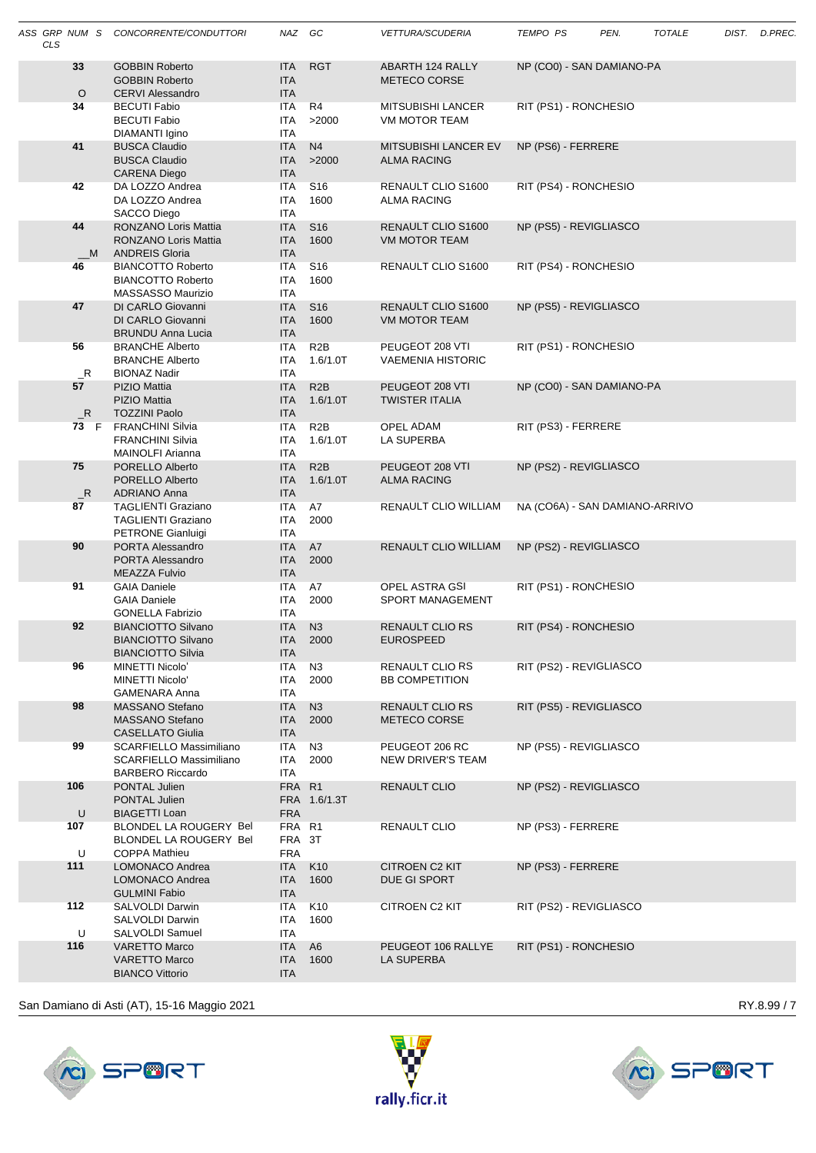| <b>CLS</b> |                   | ASS GRP NUM S CONCORRENTE/CONDUTTORI                                                        | NAZ GC                                 |                                 | <i>VETTURA/SCUDERIA</i>                           | TEMPO PS            | PEN.                           | <b>TOTALE</b> | DIST. D.PREC |
|------------|-------------------|---------------------------------------------------------------------------------------------|----------------------------------------|---------------------------------|---------------------------------------------------|---------------------|--------------------------------|---------------|--------------|
|            | 33<br>$\circ$     | <b>GOBBIN Roberto</b><br><b>GOBBIN Roberto</b><br><b>CERVI Alessandro</b>                   | <b>ITA</b><br><b>ITA</b><br><b>ITA</b> | <b>RGT</b>                      | ABARTH 124 RALLY<br>METECO CORSE                  |                     | NP (CO0) - SAN DAMIANO-PA      |               |              |
|            | 34                | BECUTI Fabio<br><b>BECUTI Fabio</b><br>DIAMANTI Igino                                       | ITA<br>ITA<br><b>ITA</b>               | R4<br>>2000                     | <b>MITSUBISHI LANCER</b><br><b>VM MOTOR TEAM</b>  |                     | RIT (PS1) - RONCHESIO          |               |              |
|            | 41                | <b>BUSCA Claudio</b><br><b>BUSCA Claudio</b><br><b>CARENA Diego</b>                         | <b>ITA</b><br><b>ITA</b><br><b>ITA</b> | N <sub>4</sub><br>>2000         | <b>MITSUBISHI LANCER EV</b><br><b>ALMA RACING</b> | NP (PS6) - FERRERE  |                                |               |              |
|            | 42                | DA LOZZO Andrea<br>DA LOZZO Andrea<br>SACCO Diego                                           | <b>ITA</b><br>ITA<br><b>ITA</b>        | S <sub>16</sub><br>1600         | RENAULT CLIO S1600<br><b>ALMA RACING</b>          |                     | RIT (PS4) - RONCHESIO          |               |              |
|            | 44<br>M           | RONZANO Loris Mattia<br><b>RONZANO Loris Mattia</b><br><b>ANDREIS Gloria</b>                | <b>ITA</b><br><b>ITA</b><br><b>ITA</b> | S <sub>16</sub><br>1600         | RENAULT CLIO S1600<br>VM MOTOR TEAM               |                     | NP (PS5) - REVIGLIASCO         |               |              |
|            | 46                | <b>BIANCOTTO Roberto</b><br><b>BIANCOTTO Roberto</b><br>MASSASSO Maurizio                   | <b>ITA</b><br><b>ITA</b><br>ITA        | S <sub>16</sub><br>1600         | RENAULT CLIO S1600                                |                     | RIT (PS4) - RONCHESIO          |               |              |
|            | 47                | DI CARLO Giovanni<br>DI CARLO Giovanni<br><b>BRUNDU Anna Lucia</b>                          | <b>ITA</b><br><b>ITA</b><br><b>ITA</b> | S <sub>16</sub><br>1600         | RENAULT CLIO S1600<br><b>VM MOTOR TEAM</b>        |                     | NP (PS5) - REVIGLIASCO         |               |              |
|            | 56<br>$R_{\perp}$ | <b>BRANCHE Alberto</b><br><b>BRANCHE Alberto</b><br><b>BIONAZ Nadir</b>                     | <b>ITA</b><br><b>ITA</b><br>ITA        | R <sub>2</sub> B<br>1.6/1.0T    | PEUGEOT 208 VTI<br><b>VAEMENIA HISTORIC</b>       |                     | RIT (PS1) - RONCHESIO          |               |              |
|            | 57<br>R           | <b>PIZIO Mattia</b><br><b>PIZIO Mattia</b><br><b>TOZZINI Paolo</b>                          | <b>ITA</b><br><b>ITA</b><br><b>ITA</b> | R2B<br>1.6/1.0T                 | PEUGEOT 208 VTI<br><b>TWISTER ITALIA</b>          |                     | NP (CO0) - SAN DAMIANO-PA      |               |              |
|            |                   | 73 F FRANCHINI Silvia<br><b>FRANCHINI Silvia</b><br>MAINOLFI Arianna                        | ITA<br>ITA<br><b>ITA</b>               | R <sub>2</sub> B<br>$1.6/1.0$ T | OPEL ADAM<br>LA SUPERBA                           | RIT (PS3) - FERRERE |                                |               |              |
|            | 75<br>R           | PORELLO Alberto<br>PORELLO Alberto<br><b>ADRIANO Anna</b>                                   | <b>ITA</b><br><b>ITA</b><br><b>ITA</b> | R2B<br>1.6/1.0T                 | PEUGEOT 208 VTI<br><b>ALMA RACING</b>             |                     | NP (PS2) - REVIGLIASCO         |               |              |
|            | 87                | <b>TAGLIENTI Graziano</b><br><b>TAGLIENTI Graziano</b><br>PETRONE Gianluigi                 | ITA<br>ITA<br><b>ITA</b>               | A7<br>2000                      | RENAULT CLIO WILLIAM                              |                     | NA (CO6A) - SAN DAMIANO-ARRIVO |               |              |
|            | 90                | PORTA Alessandro<br>PORTA Alessandro<br><b>MEAZZA Fulvio</b>                                | <b>ITA</b><br><b>ITA</b><br><b>ITA</b> | A7<br>2000                      | RENAULT CLIO WILLIAM                              |                     | NP (PS2) - REVIGLIASCO         |               |              |
|            | 91                | <b>GAIA Daniele</b><br><b>GAIA Daniele</b><br><b>GONELLA Fabrizio</b>                       | ITA.<br>ITA.<br><b>ITA</b>             | A7<br>2000                      | OPEL ASTRA GSI<br>SPORT MANAGEMENT                |                     | RIT (PS1) - RONCHESIO          |               |              |
|            | 92                | <b>BIANCIOTTO Silvano</b><br><b>BIANCIOTTO Silvano</b><br><b>BIANCIOTTO Silvia</b>          | <b>ITA</b><br><b>ITA</b><br><b>ITA</b> | N3<br>2000                      | RENAULT CLIO RS<br><b>EUROSPEED</b>               |                     | RIT (PS4) - RONCHESIO          |               |              |
|            | 96                | MINETTI Nicolo'<br>MINETTI Nicolo'<br><b>GAMENARA Anna</b>                                  | ITA<br>ITA<br><b>ITA</b>               | N <sub>3</sub><br>2000          | <b>RENAULT CLIO RS</b><br><b>BB COMPETITION</b>   |                     | RIT (PS2) - REVIGLIASCO        |               |              |
|            | 98                | MASSANO Stefano<br>MASSANO Stefano<br>CASELLATO Giulia                                      | <b>ITA</b><br><b>ITA</b><br><b>ITA</b> | N3<br>2000                      | <b>RENAULT CLIO RS</b><br><b>METECO CORSE</b>     |                     | RIT (PS5) - REVIGLIASCO        |               |              |
|            | 99                | <b>SCARFIELLO Massimiliano</b><br><b>SCARFIELLO Massimiliano</b><br><b>BARBERO Riccardo</b> | ITA<br><b>ITA</b><br>ITA               | N <sub>3</sub><br>2000          | PEUGEOT 206 RC<br>NEW DRIVER'S TEAM               |                     | NP (PS5) - REVIGLIASCO         |               |              |
|            | 106<br>U          | PONTAL Julien<br>PONTAL Julien<br><b>BIAGETTI Loan</b>                                      | FRA R1<br><b>FRA</b>                   | FRA 1.6/1.3T                    | <b>RENAULT CLIO</b>                               |                     | NP (PS2) - REVIGLIASCO         |               |              |
|            | 107<br>U          | BLONDEL LA ROUGERY Bel<br>BLONDEL LA ROUGERY Bel<br><b>COPPA Mathieu</b>                    | FRA R1<br>FRA 3T<br><b>FRA</b>         |                                 | RENAULT CLIO                                      | NP (PS3) - FERRERE  |                                |               |              |
|            | 111               | LOMONACO Andrea<br>LOMONACO Andrea<br><b>GULMINI Fabio</b>                                  | <b>ITA</b><br>ITA<br><b>ITA</b>        | K10<br>1600                     | <b>CITROEN C2 KIT</b><br>DUE GI SPORT             | NP (PS3) - FERRERE  |                                |               |              |
|            | 112<br>U          | SALVOLDI Darwin<br>SALVOLDI Darwin<br>SALVOLDI Samuel                                       | ITA<br><b>ITA</b><br>ITA               | K10<br>1600                     | CITROEN C2 KIT                                    |                     | RIT (PS2) - REVIGLIASCO        |               |              |
|            | 116               | <b>VARETTO Marco</b><br><b>VARETTO Marco</b><br><b>BIANCO Vittorio</b>                      | <b>ITA</b><br><b>ITA</b><br>ITA        | A <sub>6</sub><br>1600          | PEUGEOT 106 RALLYE<br>LA SUPERBA                  |                     | RIT (PS1) - RONCHESIO          |               |              |
|            |                   |                                                                                             |                                        |                                 |                                                   |                     |                                |               |              |